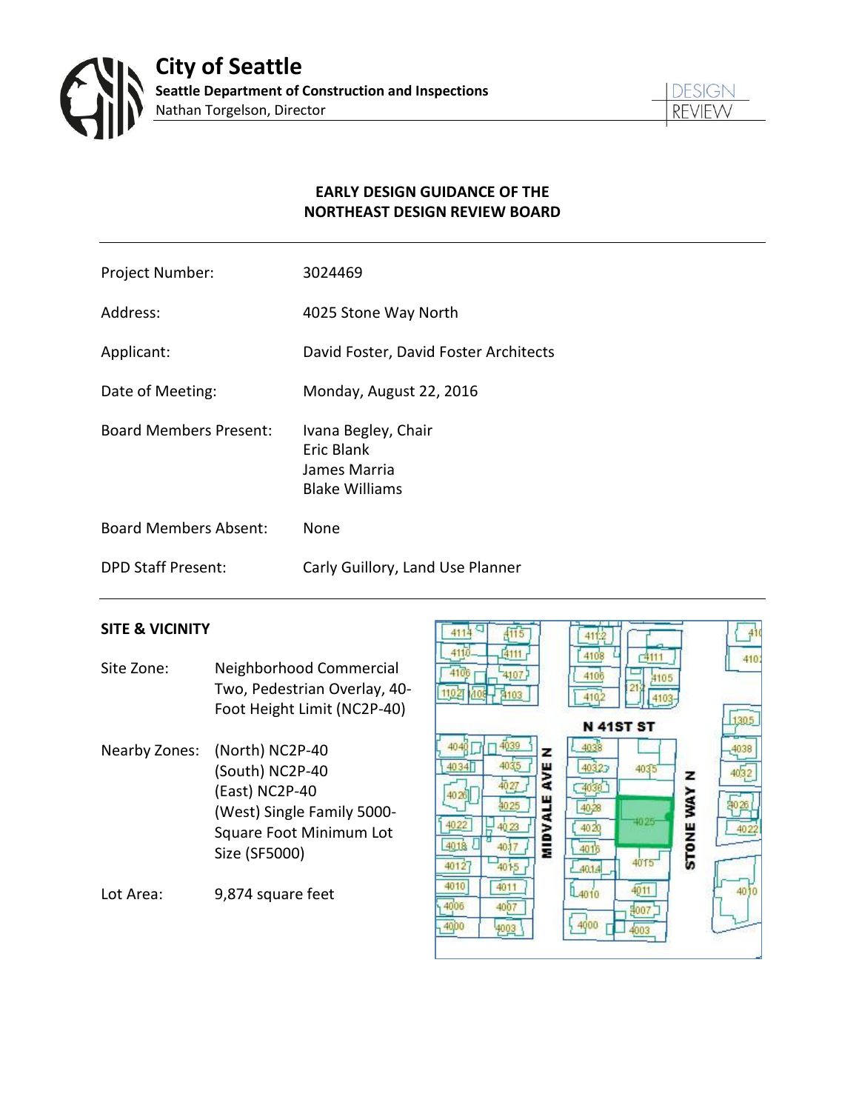



# **EARLY DESIGN GUIDANCE OF THE NORTHEAST DESIGN REVIEW BOARD**

| Project Number: | 3024469 |
|-----------------|---------|
|-----------------|---------|

Address: 4025 Stone Way North

Applicant: David Foster, David Foster Architects

Date of Meeting: Monday, August 22, 2016

Board Members Present: Ivana Begley, Chair Eric Blank James Marria Blake Williams

Board Members Absent: None

DPD Staff Present: Carly Guillory, Land Use Planner

# **SITE & VICINITY**

- Site Zone: Neighborhood Commercial Two, Pedestrian Overlay, 40- Foot Height Limit (NC2P-40)
- Nearby Zones: (North) NC2P-40 (South) NC2P-40 (East) NC2P-40 (West) Single Family 5000- Square Foot Minimum Lot Size (SF5000)
- Lot Area: 9,874 square feet

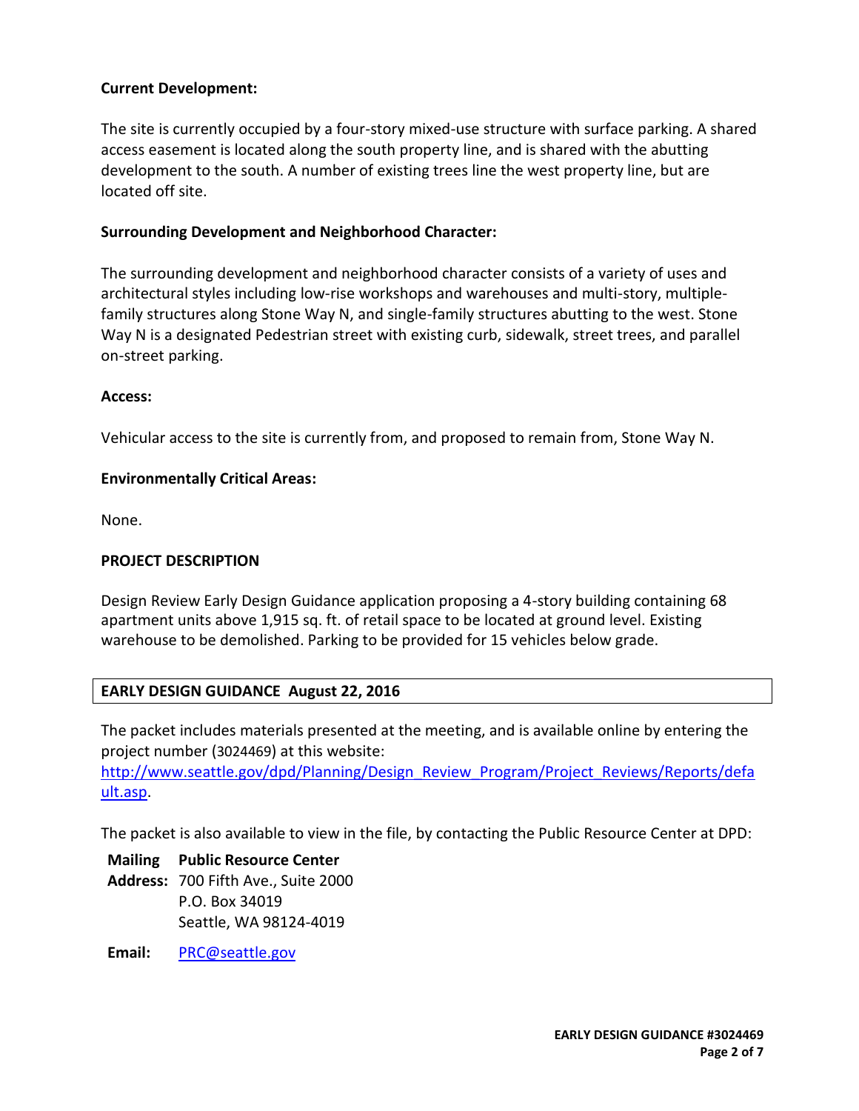# **Current Development:**

The site is currently occupied by a four-story mixed-use structure with surface parking. A shared access easement is located along the south property line, and is shared with the abutting development to the south. A number of existing trees line the west property line, but are located off site.

### **Surrounding Development and Neighborhood Character:**

The surrounding development and neighborhood character consists of a variety of uses and architectural styles including low-rise workshops and warehouses and multi-story, multiplefamily structures along Stone Way N, and single-family structures abutting to the west. Stone Way N is a designated Pedestrian street with existing curb, sidewalk, street trees, and parallel on-street parking.

### **Access:**

Vehicular access to the site is currently from, and proposed to remain from, Stone Way N.

### **Environmentally Critical Areas:**

None.

# **PROJECT DESCRIPTION**

Design Review Early Design Guidance application proposing a 4-story building containing 68 apartment units above 1,915 sq. ft. of retail space to be located at ground level. Existing warehouse to be demolished. Parking to be provided for 15 vehicles below grade.

# **EARLY DESIGN GUIDANCE August 22, 2016**

The packet includes materials presented at the meeting, and is available online by entering the project number (3024469) at this website:

[http://www.seattle.gov/dpd/Planning/Design\\_Review\\_Program/Project\\_Reviews/Reports/defa](http://www.seattle.gov/dpd/Planning/Design_Review_Program/Project_Reviews/Reports/default.asp) [ult.asp.](http://www.seattle.gov/dpd/Planning/Design_Review_Program/Project_Reviews/Reports/default.asp)

The packet is also available to view in the file, by contacting the Public Resource Center at DPD:

**Mailing Public Resource Center Address:** 700 Fifth Ave., Suite 2000 P.O. Box 34019 Seattle, WA 98124-4019

**Email:** [PRC@seattle.gov](mailto:PRC@seattle.gov)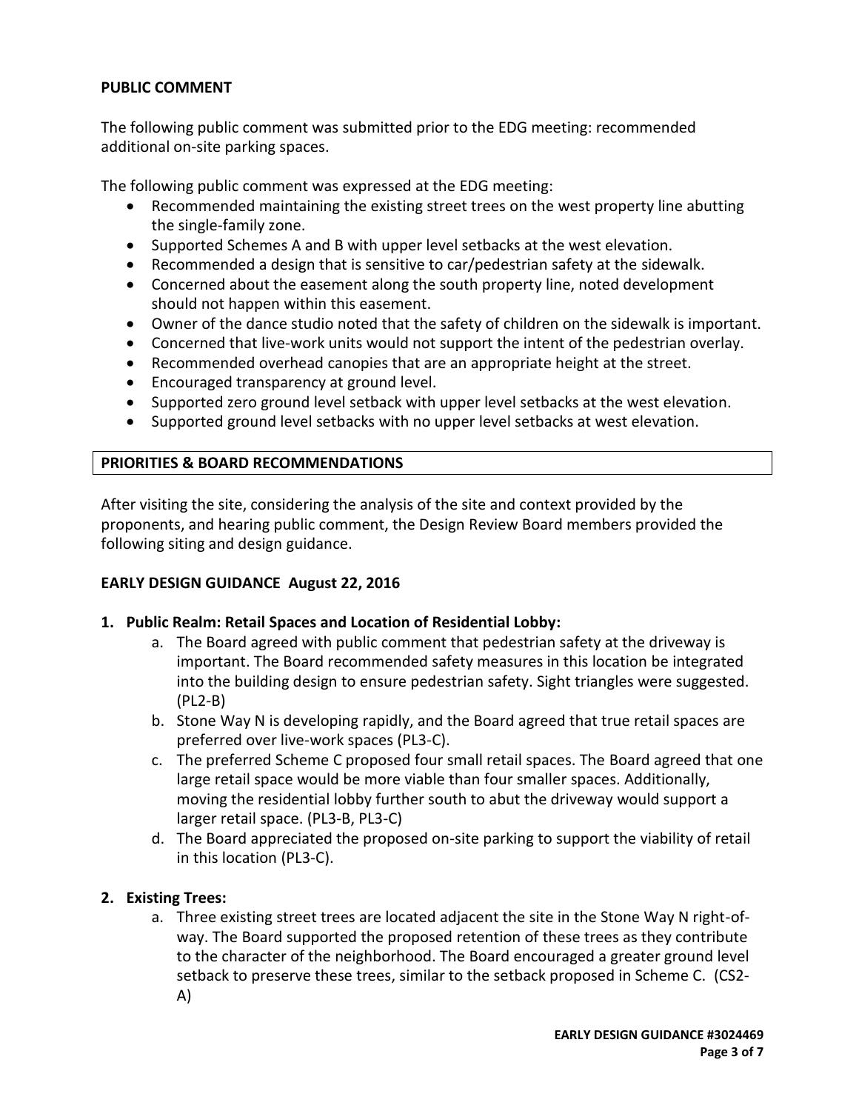# **PUBLIC COMMENT**

The following public comment was submitted prior to the EDG meeting: recommended additional on-site parking spaces.

The following public comment was expressed at the EDG meeting:

- Recommended maintaining the existing street trees on the west property line abutting the single-family zone.
- Supported Schemes A and B with upper level setbacks at the west elevation.
- Recommended a design that is sensitive to car/pedestrian safety at the sidewalk.
- Concerned about the easement along the south property line, noted development should not happen within this easement.
- Owner of the dance studio noted that the safety of children on the sidewalk is important.
- Concerned that live-work units would not support the intent of the pedestrian overlay.
- Recommended overhead canopies that are an appropriate height at the street.
- Encouraged transparency at ground level.
- Supported zero ground level setback with upper level setbacks at the west elevation.
- Supported ground level setbacks with no upper level setbacks at west elevation.

## **PRIORITIES & BOARD RECOMMENDATIONS**

After visiting the site, considering the analysis of the site and context provided by the proponents, and hearing public comment, the Design Review Board members provided the following siting and design guidance.

### **EARLY DESIGN GUIDANCE August 22, 2016**

### **1. Public Realm: Retail Spaces and Location of Residential Lobby:**

- a. The Board agreed with public comment that pedestrian safety at the driveway is important. The Board recommended safety measures in this location be integrated into the building design to ensure pedestrian safety. Sight triangles were suggested. (PL2-B)
- b. Stone Way N is developing rapidly, and the Board agreed that true retail spaces are preferred over live-work spaces (PL3-C).
- c. The preferred Scheme C proposed four small retail spaces. The Board agreed that one large retail space would be more viable than four smaller spaces. Additionally, moving the residential lobby further south to abut the driveway would support a larger retail space. (PL3-B, PL3-C)
- d. The Board appreciated the proposed on-site parking to support the viability of retail in this location (PL3-C).

# **2. Existing Trees:**

a. Three existing street trees are located adjacent the site in the Stone Way N right-ofway. The Board supported the proposed retention of these trees as they contribute to the character of the neighborhood. The Board encouraged a greater ground level setback to preserve these trees, similar to the setback proposed in Scheme C. (CS2- A)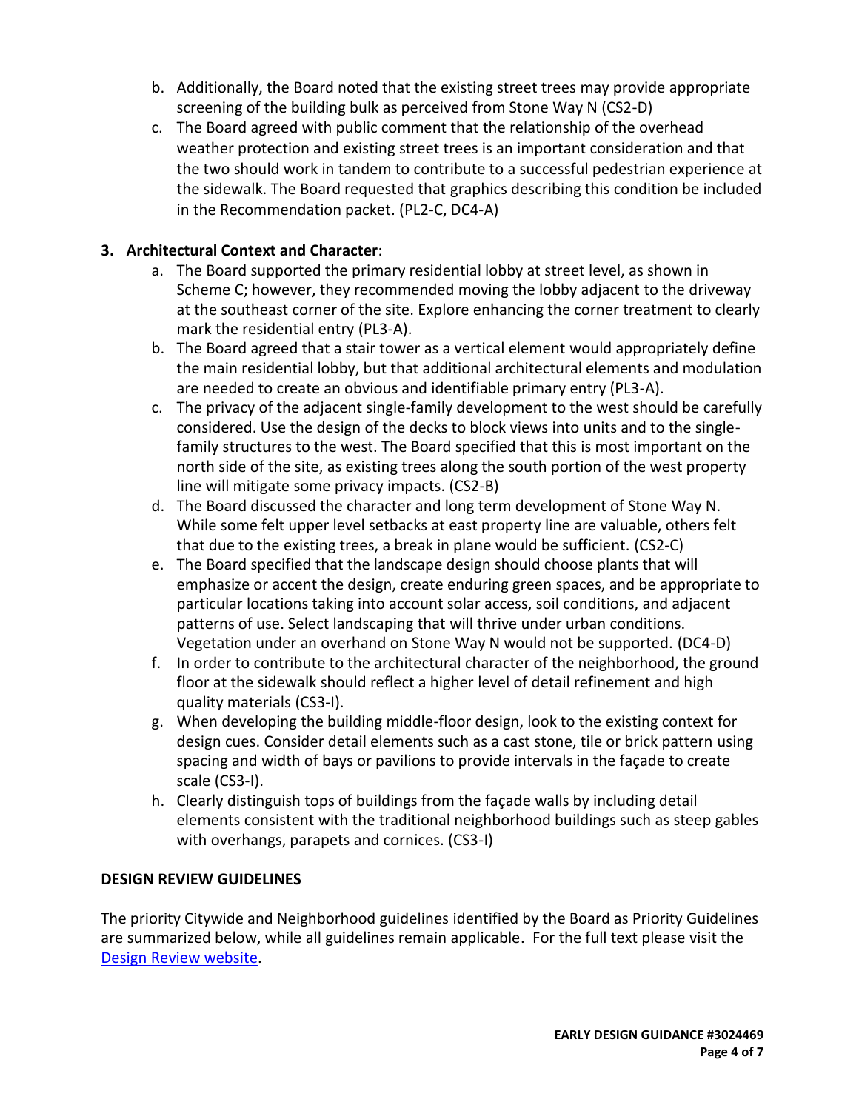- b. Additionally, the Board noted that the existing street trees may provide appropriate screening of the building bulk as perceived from Stone Way N (CS2-D)
- c. The Board agreed with public comment that the relationship of the overhead weather protection and existing street trees is an important consideration and that the two should work in tandem to contribute to a successful pedestrian experience at the sidewalk. The Board requested that graphics describing this condition be included in the Recommendation packet. (PL2-C, DC4-A)

# **3. Architectural Context and Character**:

- a. The Board supported the primary residential lobby at street level, as shown in Scheme C; however, they recommended moving the lobby adjacent to the driveway at the southeast corner of the site. Explore enhancing the corner treatment to clearly mark the residential entry (PL3-A).
- b. The Board agreed that a stair tower as a vertical element would appropriately define the main residential lobby, but that additional architectural elements and modulation are needed to create an obvious and identifiable primary entry (PL3-A).
- c. The privacy of the adjacent single-family development to the west should be carefully considered. Use the design of the decks to block views into units and to the singlefamily structures to the west. The Board specified that this is most important on the north side of the site, as existing trees along the south portion of the west property line will mitigate some privacy impacts. (CS2-B)
- d. The Board discussed the character and long term development of Stone Way N. While some felt upper level setbacks at east property line are valuable, others felt that due to the existing trees, a break in plane would be sufficient. (CS2-C)
- e. The Board specified that the landscape design should choose plants that will emphasize or accent the design, create enduring green spaces, and be appropriate to particular locations taking into account solar access, soil conditions, and adjacent patterns of use. Select landscaping that will thrive under urban conditions. Vegetation under an overhand on Stone Way N would not be supported. (DC4-D)
- f. In order to contribute to the architectural character of the neighborhood, the ground floor at the sidewalk should reflect a higher level of detail refinement and high quality materials (CS3-I).
- g. When developing the building middle-floor design, look to the existing context for design cues. Consider detail elements such as a cast stone, tile or brick pattern using spacing and width of bays or pavilions to provide intervals in the façade to create scale (CS3-I).
- h. Clearly distinguish tops of buildings from the façade walls by including detail elements consistent with the traditional neighborhood buildings such as steep gables with overhangs, parapets and cornices. (CS3-I)

### **DESIGN REVIEW GUIDELINES**

The priority Citywide and Neighborhood guidelines identified by the Board as Priority Guidelines are summarized below, while all guidelines remain applicable. For the full text please visit the [Design Review website.](https://www.seattle.gov/dpd/aboutus/whoweare/designreview/designguidelines/default.htm)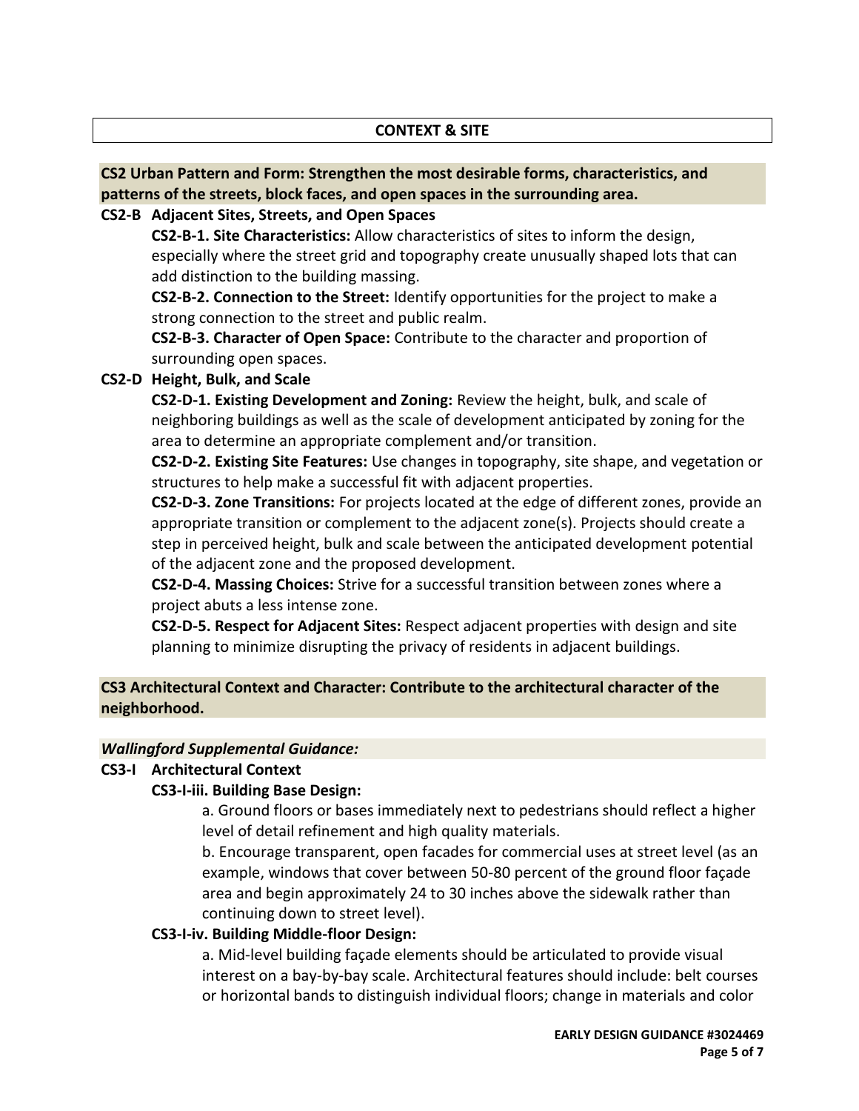### **CONTEXT & SITE**

# **CS2 Urban Pattern and Form: Strengthen the most desirable forms, characteristics, and patterns of the streets, block faces, and open spaces in the surrounding area.**

### **CS2-B Adjacent Sites, Streets, and Open Spaces**

**CS2-B-1. Site Characteristics:** Allow characteristics of sites to inform the design, especially where the street grid and topography create unusually shaped lots that can add distinction to the building massing.

**CS2-B-2. Connection to the Street:** Identify opportunities for the project to make a strong connection to the street and public realm.

**CS2-B-3. Character of Open Space:** Contribute to the character and proportion of surrounding open spaces.

## **CS2-D Height, Bulk, and Scale**

**CS2-D-1. Existing Development and Zoning:** Review the height, bulk, and scale of neighboring buildings as well as the scale of development anticipated by zoning for the area to determine an appropriate complement and/or transition.

**CS2-D-2. Existing Site Features:** Use changes in topography, site shape, and vegetation or structures to help make a successful fit with adjacent properties.

**CS2-D-3. Zone Transitions:** For projects located at the edge of different zones, provide an appropriate transition or complement to the adjacent zone(s). Projects should create a step in perceived height, bulk and scale between the anticipated development potential of the adjacent zone and the proposed development.

**CS2-D-4. Massing Choices:** Strive for a successful transition between zones where a project abuts a less intense zone.

**CS2-D-5. Respect for Adjacent Sites:** Respect adjacent properties with design and site planning to minimize disrupting the privacy of residents in adjacent buildings.

# **CS3 Architectural Context and Character: Contribute to the architectural character of the neighborhood.**

### *Wallingford Supplemental Guidance:*

# **CS3-I Architectural Context**

# **CS3-I-iii. Building Base Design:**

a. Ground floors or bases immediately next to pedestrians should reflect a higher level of detail refinement and high quality materials.

b. Encourage transparent, open facades for commercial uses at street level (as an example, windows that cover between 50-80 percent of the ground floor façade area and begin approximately 24 to 30 inches above the sidewalk rather than continuing down to street level).

### **CS3-I-iv. Building Middle-floor Design:**

a. Mid-level building façade elements should be articulated to provide visual interest on a bay-by-bay scale. Architectural features should include: belt courses or horizontal bands to distinguish individual floors; change in materials and color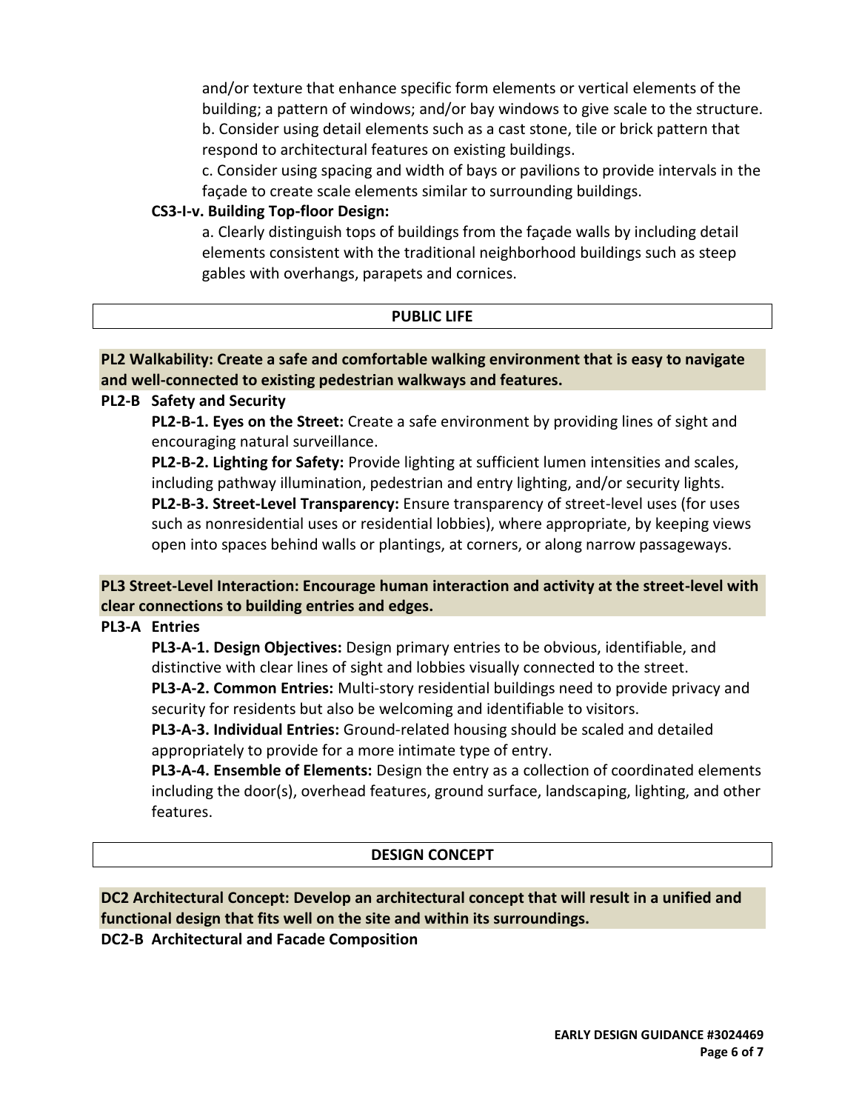and/or texture that enhance specific form elements or vertical elements of the building; a pattern of windows; and/or bay windows to give scale to the structure. b. Consider using detail elements such as a cast stone, tile or brick pattern that respond to architectural features on existing buildings.

c. Consider using spacing and width of bays or pavilions to provide intervals in the façade to create scale elements similar to surrounding buildings.

# **CS3-I-v. Building Top-floor Design:**

a. Clearly distinguish tops of buildings from the façade walls by including detail elements consistent with the traditional neighborhood buildings such as steep gables with overhangs, parapets and cornices.

| <b>DURLIC LIEE</b><br>∸!Г⊾∶<br>________ |  |
|-----------------------------------------|--|
|                                         |  |

#### **PL2 Walkability: Create a safe and comfortable walking environment that is easy to navigate and well-connected to existing pedestrian walkways and features.**

### **PL2-B Safety and Security**

**PL2-B-1. Eyes on the Street:** Create a safe environment by providing lines of sight and encouraging natural surveillance.

**PL2-B-2. Lighting for Safety:** Provide lighting at sufficient lumen intensities and scales, including pathway illumination, pedestrian and entry lighting, and/or security lights. **PL2-B-3. Street-Level Transparency:** Ensure transparency of street-level uses (for uses such as nonresidential uses or residential lobbies), where appropriate, by keeping views open into spaces behind walls or plantings, at corners, or along narrow passageways.

# **PL3 Street-Level Interaction: Encourage human interaction and activity at the street-level with clear connections to building entries and edges.**

### **PL3-A Entries**

**PL3-A-1. Design Objectives:** Design primary entries to be obvious, identifiable, and distinctive with clear lines of sight and lobbies visually connected to the street. **PL3-A-2. Common Entries:** Multi-story residential buildings need to provide privacy and

security for residents but also be welcoming and identifiable to visitors.

**PL3-A-3. Individual Entries:** Ground-related housing should be scaled and detailed appropriately to provide for a more intimate type of entry.

**PL3-A-4. Ensemble of Elements:** Design the entry as a collection of coordinated elements including the door(s), overhead features, ground surface, landscaping, lighting, and other features.

# **DESIGN CONCEPT**

**DC2 Architectural Concept: Develop an architectural concept that will result in a unified and functional design that fits well on the site and within its surroundings.**

**DC2-B Architectural and Facade Composition**